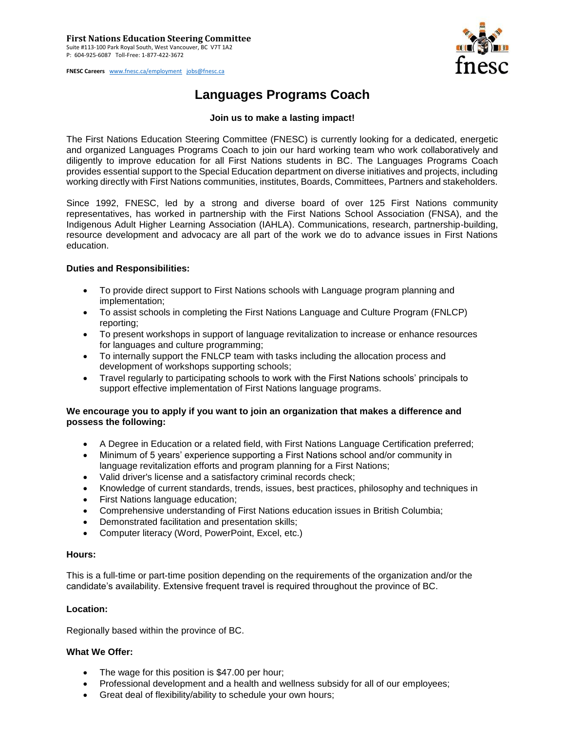**FNESC Careers** [www.fnesc.ca/employment](http://www.fnesc.ca/employment) [jobs@fnesc.ca](mailto:jobs@fnesc.ca) 



# **Languages Programs Coach**

## **Join us to make a lasting impact!**

The First Nations Education Steering Committee (FNESC) is currently looking for a dedicated, energetic and organized Languages Programs Coach to join our hard working team who work collaboratively and diligently to improve education for all First Nations students in BC. The Languages Programs Coach provides essential support to the Special Education department on diverse initiatives and projects, including working directly with First Nations communities, institutes, Boards, Committees, Partners and stakeholders.

Since 1992, FNESC, led by a strong and diverse board of over 125 First Nations community representatives, has worked in partnership with the First Nations School Association (FNSA), and the Indigenous Adult Higher Learning Association (IAHLA). Communications, research, partnership-building, resource development and advocacy are all part of the work we do to advance issues in First Nations education.

### **Duties and Responsibilities:**

- To provide direct support to First Nations schools with Language program planning and implementation;
- To assist schools in completing the First Nations Language and Culture Program (FNLCP) reporting;
- To present workshops in support of language revitalization to increase or enhance resources for languages and culture programming;
- To internally support the FNLCP team with tasks including the allocation process and development of workshops supporting schools;
- Travel regularly to participating schools to work with the First Nations schools' principals to support effective implementation of First Nations language programs.

### **We encourage you to apply if you want to join an organization that makes a difference and possess the following:**

- A Degree in Education or a related field, with First Nations Language Certification preferred;
- Minimum of 5 years' experience supporting a First Nations school and/or community in language revitalization efforts and program planning for a First Nations;
- Valid driver's license and a satisfactory criminal records check;
- Knowledge of current standards, trends, issues, best practices, philosophy and techniques in
- First Nations language education:
- Comprehensive understanding of First Nations education issues in British Columbia;
- Demonstrated facilitation and presentation skills;
- Computer literacy (Word, PowerPoint, Excel, etc.)

#### **Hours:**

This is a full-time or part-time position depending on the requirements of the organization and/or the candidate's availability. Extensive frequent travel is required throughout the province of BC.

### **Location:**

Regionally based within the province of BC.

### **What We Offer:**

- The wage for this position is \$47.00 per hour;
- Professional development and a health and wellness subsidy for all of our employees;
- Great deal of flexibility/ability to schedule your own hours;